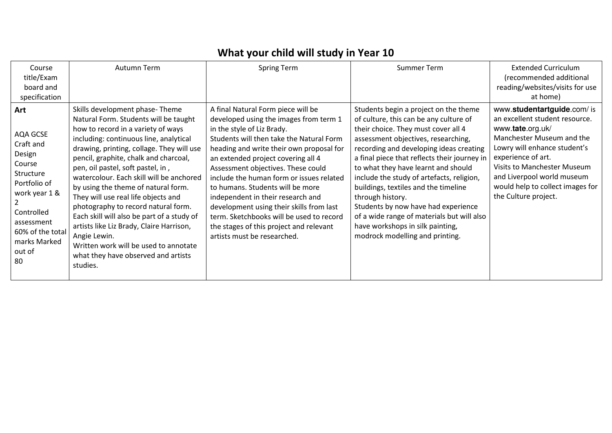## **What your child will study in Year 10**

| Course<br>title/Exam<br>board and<br>specification                                                                                                                             | Autumn Term                                                                                                                                                                                                                                                                                                                                                                                                                                                                                                                                                                                                                                               | <b>Spring Term</b>                                                                                                                                                                                                                                                                                                                                                                                                                                                                                                                                                    | Summer Term                                                                                                                                                                                                                                                                                                                                                                                                                                                                                                                                                          | <b>Extended Curriculum</b><br>(recommended additional<br>reading/websites/visits for use<br>at home)                                                                                                                                                                                         |
|--------------------------------------------------------------------------------------------------------------------------------------------------------------------------------|-----------------------------------------------------------------------------------------------------------------------------------------------------------------------------------------------------------------------------------------------------------------------------------------------------------------------------------------------------------------------------------------------------------------------------------------------------------------------------------------------------------------------------------------------------------------------------------------------------------------------------------------------------------|-----------------------------------------------------------------------------------------------------------------------------------------------------------------------------------------------------------------------------------------------------------------------------------------------------------------------------------------------------------------------------------------------------------------------------------------------------------------------------------------------------------------------------------------------------------------------|----------------------------------------------------------------------------------------------------------------------------------------------------------------------------------------------------------------------------------------------------------------------------------------------------------------------------------------------------------------------------------------------------------------------------------------------------------------------------------------------------------------------------------------------------------------------|----------------------------------------------------------------------------------------------------------------------------------------------------------------------------------------------------------------------------------------------------------------------------------------------|
| Art<br>AQA GCSE<br>Craft and<br>Design<br>Course<br>Structure<br>Portfolio of<br>work year 1 &<br>Controlled<br>assessment<br>60% of the total<br>marks Marked<br>out of<br>80 | Skills development phase-Theme<br>Natural Form. Students will be taught<br>how to record in a variety of ways<br>including: continuous line, analytical<br>drawing, printing, collage. They will use<br>pencil, graphite, chalk and charcoal,<br>pen, oil pastel, soft pastel, in,<br>watercolour. Each skill will be anchored<br>by using the theme of natural form.<br>They will use real life objects and<br>photography to record natural form.<br>Each skill will also be part of a study of<br>artists like Liz Brady, Claire Harrison,<br>Angie Lewin.<br>Written work will be used to annotate<br>what they have observed and artists<br>studies. | A final Natural Form piece will be<br>developed using the images from term 1<br>in the style of Liz Brady.<br>Students will then take the Natural Form<br>heading and write their own proposal for<br>an extended project covering all 4<br>Assessment objectives. These could<br>include the human form or issues related<br>to humans. Students will be more<br>independent in their research and<br>development using their skills from last<br>term. Sketchbooks will be used to record<br>the stages of this project and relevant<br>artists must be researched. | Students begin a project on the theme<br>of culture, this can be any culture of<br>their choice. They must cover all 4<br>assessment objectives, researching,<br>recording and developing ideas creating<br>a final piece that reflects their journey in<br>to what they have learnt and should<br>include the study of artefacts, religion,<br>buildings, textiles and the timeline<br>through history.<br>Students by now have had experience<br>of a wide range of materials but will also<br>have workshops in silk painting,<br>modrock modelling and printing. | www.studentartguide.com/is<br>an excellent student resource.<br>www.tate.org.uk/<br>Manchester Museum and the<br>Lowry will enhance student's<br>experience of art.<br>Visits to Manchester Museum<br>and Liverpool world museum<br>would help to collect images for<br>the Culture project. |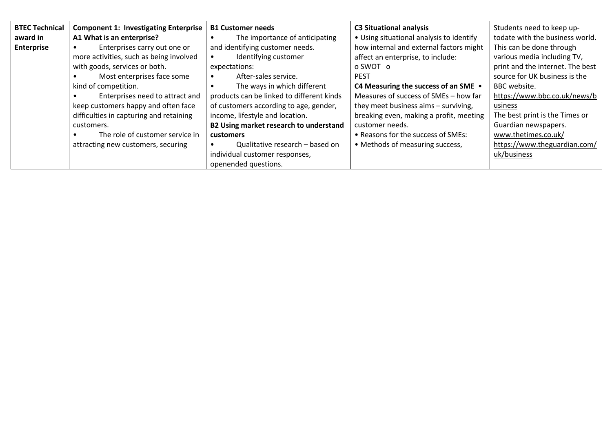| <b>BTEC Technical</b> | <b>Component 1: Investigating Enterprise</b> | <b>B1 Customer needs</b>                     | <b>C3 Situational analysis</b>           | Students need to keep up-        |
|-----------------------|----------------------------------------------|----------------------------------------------|------------------------------------------|----------------------------------|
| award in              | A1 What is an enterprise?                    | The importance of anticipating               | • Using situational analysis to identify | todate with the business world.  |
| <b>Enterprise</b>     | Enterprises carry out one or                 | and identifying customer needs.              | how internal and external factors might  | This can be done through         |
|                       | more activities, such as being involved      | Identifying customer                         | affect an enterprise, to include:        | various media including TV,      |
|                       | with goods, services or both.                | expectations:                                | o SWOT o                                 | print and the internet. The best |
|                       | Most enterprises face some                   | After-sales service.                         | <b>PEST</b>                              | source for UK business is the    |
|                       | kind of competition.                         | The ways in which different                  | C4 Measuring the success of an SME .     | BBC website.                     |
|                       | Enterprises need to attract and              | products can be linked to different kinds    | Measures of success of SMEs - how far    | https://www.bbc.co.uk/news/b     |
|                       | keep customers happy and often face          | of customers according to age, gender,       | they meet business aims - surviving,     | usiness                          |
|                       | difficulties in capturing and retaining      | income, lifestyle and location.              | breaking even, making a profit, meeting  | The best print is the Times or   |
|                       | customers.                                   | B2 Using market research to understand       | customer needs.                          | Guardian newspapers.             |
|                       | The role of customer service in              | <b>customers</b>                             | • Reasons for the success of SMEs:       | www.thetimes.co.uk/              |
|                       | attracting new customers, securing           | Qualitative research – based on<br>$\bullet$ | • Methods of measuring success,          | https://www.theguardian.com/     |
|                       |                                              | individual customer responses,               |                                          | uk/business                      |
|                       |                                              | openended questions.                         |                                          |                                  |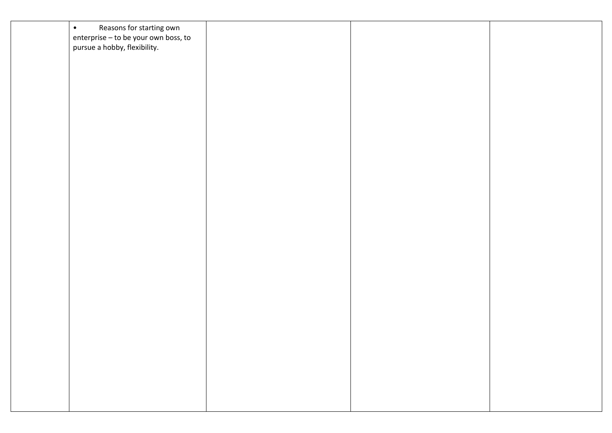| Reasons for starting own<br>$\bullet$<br>enterprise - to be your own boss, to<br>pursue a hobby, flexibility. |  |  |
|---------------------------------------------------------------------------------------------------------------|--|--|
|                                                                                                               |  |  |
|                                                                                                               |  |  |
|                                                                                                               |  |  |
|                                                                                                               |  |  |
|                                                                                                               |  |  |
|                                                                                                               |  |  |
|                                                                                                               |  |  |
|                                                                                                               |  |  |
|                                                                                                               |  |  |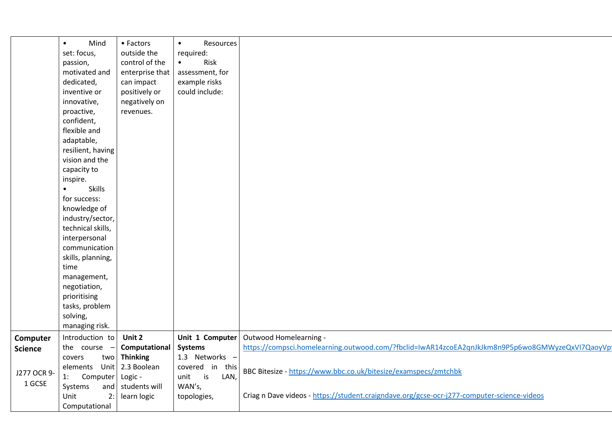|                | Mind<br>$\bullet$<br>set: focus,<br>passion, | • Factors<br>outside the<br>control of the | Resources<br>$\bullet$<br>required:<br>Risk<br>$\bullet$ |                                                                                                                           |
|----------------|----------------------------------------------|--------------------------------------------|----------------------------------------------------------|---------------------------------------------------------------------------------------------------------------------------|
|                | motivated and                                | enterprise that                            | assessment, for                                          |                                                                                                                           |
|                | dedicated,                                   | can impact                                 | example risks                                            |                                                                                                                           |
|                | inventive or                                 | positively or                              | could include:                                           |                                                                                                                           |
|                | innovative,                                  | negatively on                              |                                                          |                                                                                                                           |
|                | proactive,                                   | revenues.                                  |                                                          |                                                                                                                           |
|                | confident,<br>flexible and                   |                                            |                                                          |                                                                                                                           |
|                | adaptable,                                   |                                            |                                                          |                                                                                                                           |
|                | resilient, having                            |                                            |                                                          |                                                                                                                           |
|                | vision and the                               |                                            |                                                          |                                                                                                                           |
|                | capacity to                                  |                                            |                                                          |                                                                                                                           |
|                | inspire.                                     |                                            |                                                          |                                                                                                                           |
|                | <b>Skills</b><br>$\bullet$                   |                                            |                                                          |                                                                                                                           |
|                | for success:                                 |                                            |                                                          |                                                                                                                           |
|                | knowledge of                                 |                                            |                                                          |                                                                                                                           |
|                | industry/sector,                             |                                            |                                                          |                                                                                                                           |
|                | technical skills,<br>interpersonal           |                                            |                                                          |                                                                                                                           |
|                | communication                                |                                            |                                                          |                                                                                                                           |
|                | skills, planning,                            |                                            |                                                          |                                                                                                                           |
|                | time                                         |                                            |                                                          |                                                                                                                           |
|                | management,                                  |                                            |                                                          |                                                                                                                           |
|                | negotiation,                                 |                                            |                                                          |                                                                                                                           |
|                | prioritising                                 |                                            |                                                          |                                                                                                                           |
|                | tasks, problem                               |                                            |                                                          |                                                                                                                           |
|                | solving,                                     |                                            |                                                          |                                                                                                                           |
|                | managing risk.<br>Introduction to            | Unit 2                                     |                                                          |                                                                                                                           |
| Computer       | the course                                   | Computational                              | Unit 1 Computer<br><b>Systems</b>                        | Outwood Homelearning -<br>https://compsci.homelearning.outwood.com/?fbclid=IwAR14zcoEA2qnJkJkm8n9P5p6wo8GMWyzeQxVI7QaoyVp |
| <b>Science</b> | two<br>covers                                | <b>Thinking</b>                            | 1.3 Networks -                                           |                                                                                                                           |
|                | elements Unit                                | 2.3 Boolean                                | covered in this                                          |                                                                                                                           |
| J277 OCR 9-    | Computer<br>1:                               | Logic -                                    | unit<br>is<br>LAN,                                       | BBC Bitesize - https://www.bbc.co.uk/bitesize/examspecs/zmtchbk                                                           |
| 1 GCSE         | Systems<br>and                               | students will                              | WAN's,                                                   |                                                                                                                           |
|                | 2:<br>Unit                                   | learn logic                                | topologies,                                              | Criag n Dave videos - https://student.craigndave.org/gcse-ocr-j277-computer-science-videos                                |
|                | Computational                                |                                            |                                                          |                                                                                                                           |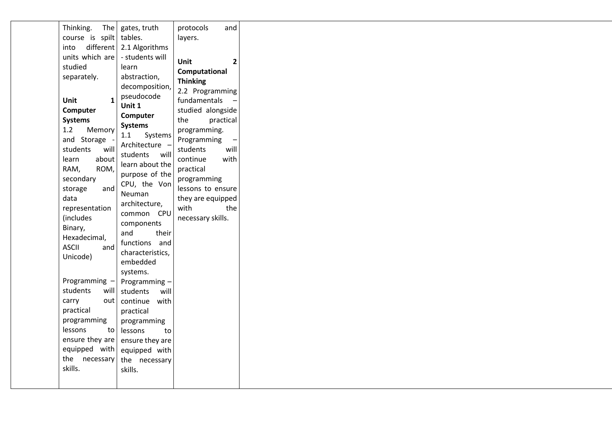| Thinking.<br>The            | gates, truth     | protocols<br>and                  |
|-----------------------------|------------------|-----------------------------------|
| course is spilt             | tables.          | layers.                           |
| different<br>into           | 2.1 Algorithms   |                                   |
| units which are             | - students will  |                                   |
| studied                     | learn            | Unit<br>$\mathbf{2}$              |
| separately.                 | abstraction,     | Computational                     |
|                             | decomposition,   | <b>Thinking</b>                   |
|                             | pseudocode       | 2.2 Programming                   |
| $\mathbf{1}$<br>Unit        | Unit 1           | fundamentals<br>$\qquad \qquad -$ |
| Computer                    | Computer         | studied alongside                 |
| <b>Systems</b>              | Systems          | the<br>practical                  |
| 1.2<br>Memory               | Systems<br>1.1   | programming.                      |
| and Storage                 | Architecture -   | Programming<br>—                  |
| will<br>students            | students will    | students<br>will                  |
| about<br>learn              | learn about the  | continue<br>with                  |
| RAM,<br>ROM,                | purpose of the   | practical                         |
| secondary<br>storage<br>and | CPU, the Von     | programming<br>lessons to ensure  |
| data                        | Neuman           | they are equipped                 |
| representation              | architecture,    | with<br>the                       |
| (includes                   | common CPU       | necessary skills.                 |
| Binary,                     | components       |                                   |
| Hexadecimal,                | and<br>their     |                                   |
| <b>ASCII</b><br>and         | functions and    |                                   |
| Unicode)                    | characteristics, |                                   |
|                             | embedded         |                                   |
|                             | systems.         |                                   |
| Programming -               | Programming-     |                                   |
| students<br>will            | students<br>will |                                   |
| out<br>carry                | continue with    |                                   |
| practical                   | practical        |                                   |
| programming                 | programming      |                                   |
| lessons<br>to               | lessons<br>to    |                                   |
| ensure they are             | ensure they are  |                                   |
| equipped with               | equipped with    |                                   |
| the necessary               | the necessary    |                                   |
| skills.                     | skills.          |                                   |
|                             |                  |                                   |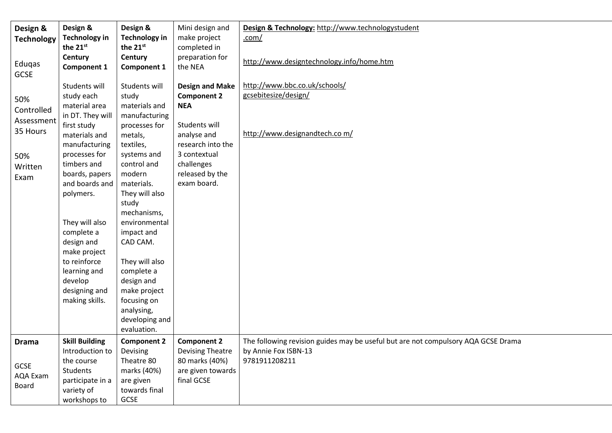| Design &<br><b>Technology</b><br>Eduqas<br>GCSE                       | Design &<br><b>Technology in</b><br>the 21st<br>Century<br><b>Component 1</b>                                                                                                                                                                                                    | Design &<br><b>Technology in</b><br>the 21st<br>Century<br><b>Component 1</b>                                                                                                                                                                                  | Mini design and<br>make project<br>completed in<br>preparation for<br>the NEA                                                                                                   | Design & Technology: http://www.technologystudent<br>.com/<br>http://www.designtechnology.info/home.htm                    |
|-----------------------------------------------------------------------|----------------------------------------------------------------------------------------------------------------------------------------------------------------------------------------------------------------------------------------------------------------------------------|----------------------------------------------------------------------------------------------------------------------------------------------------------------------------------------------------------------------------------------------------------------|---------------------------------------------------------------------------------------------------------------------------------------------------------------------------------|----------------------------------------------------------------------------------------------------------------------------|
| 50%<br>Controlled<br>Assessment<br>35 Hours<br>50%<br>Written<br>Exam | Students will<br>study each<br>material area<br>in DT. They will<br>first study<br>materials and<br>manufacturing<br>processes for<br>timbers and<br>boards, papers<br>and boards and<br>polymers.<br>They will also<br>complete a<br>design and<br>make project<br>to reinforce | Students will<br>study<br>materials and<br>manufacturing<br>processes for<br>metals,<br>textiles,<br>systems and<br>control and<br>modern<br>materials.<br>They will also<br>study<br>mechanisms,<br>environmental<br>impact and<br>CAD CAM.<br>They will also | <b>Design and Make</b><br><b>Component 2</b><br><b>NEA</b><br>Students will<br>analyse and<br>research into the<br>3 contextual<br>challenges<br>released by the<br>exam board. | http://www.bbc.co.uk/schools/<br>gcsebitesize/design/<br>http://www.designandtech.com/                                     |
|                                                                       | learning and<br>develop<br>designing and<br>making skills.                                                                                                                                                                                                                       | complete a<br>design and<br>make project<br>focusing on<br>analysing,<br>developing and<br>evaluation.                                                                                                                                                         |                                                                                                                                                                                 |                                                                                                                            |
| <b>Drama</b><br>GCSE<br>AQA Exam<br>Board                             | <b>Skill Building</b><br>Introduction to<br>the course<br>Students<br>participate in a<br>variety of<br>workshops to                                                                                                                                                             | <b>Component 2</b><br>Devising<br>Theatre 80<br>marks (40%)<br>are given<br>towards final<br>GCSE                                                                                                                                                              | <b>Component 2</b><br><b>Devising Theatre</b><br>80 marks (40%)<br>are given towards<br>final GCSE                                                                              | The following revision guides may be useful but are not compulsory AQA GCSE Drama<br>by Annie Fox ISBN-13<br>9781911208211 |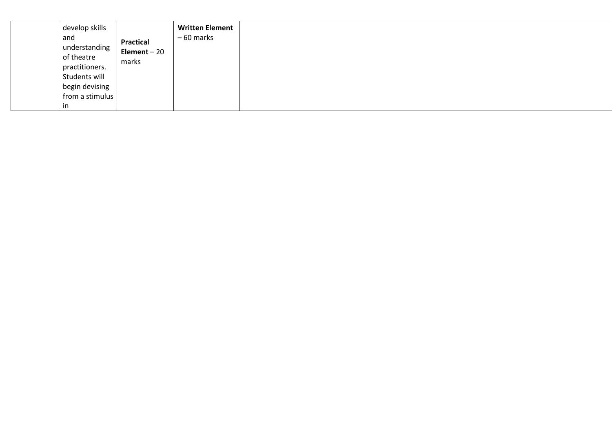| develop skills<br>and<br>understanding<br>of theatre<br>practitioners.<br>Students will<br>begin devising<br>from a stimulus<br>in |
|------------------------------------------------------------------------------------------------------------------------------------|
|------------------------------------------------------------------------------------------------------------------------------------|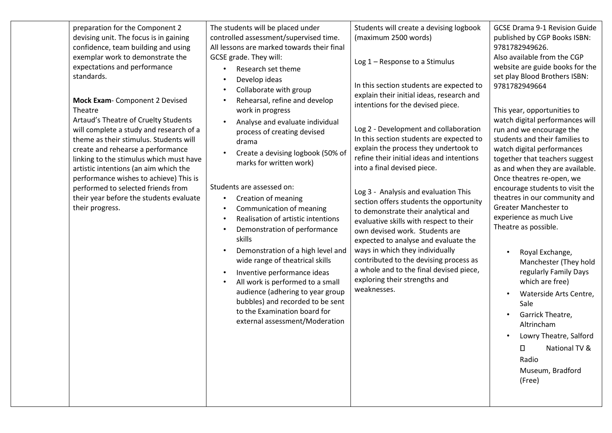|  | preparation for the Component 2<br>devising unit. The focus is in gaining<br>confidence, team building and using<br>exemplar work to demonstrate the<br>expectations and performance<br>standards.<br>Mock Exam- Component 2 Devised<br>Theatre<br>Artaud's Theatre of Cruelty Students<br>will complete a study and research of a<br>theme as their stimulus. Students will<br>create and rehearse a performance<br>linking to the stimulus which must have<br>artistic intentions (an aim which the<br>performance wishes to achieve) This is<br>performed to selected friends from<br>their year before the students evaluate<br>their progress. | The students will be placed under<br>controlled assessment/supervised time.<br>All lessons are marked towards their final<br>GCSE grade. They will:<br>Research set theme<br>Develop ideas<br>Collaborate with group<br>Rehearsal, refine and develop<br>work in progress<br>Analyse and evaluate individual<br>process of creating devised<br>drama<br>Create a devising logbook (50% of<br>marks for written work)<br>Students are assessed on:<br>Creation of meaning<br>$\bullet$<br>Communication of meaning<br>Realisation of artistic intentions<br>Demonstration of performance<br>skills<br>Demonstration of a high level and<br>wide range of theatrical skills<br>Inventive performance ideas<br>All work is performed to a small<br>audience (adhering to year group<br>bubbles) and recorded to be sent<br>to the Examination board for<br>external assessment/Moderation | Students will create a devising logbook<br>(maximum 2500 words)<br>Log 1 - Response to a Stimulus<br>In this section students are expected to<br>explain their initial ideas, research and<br>intentions for the devised piece.<br>Log 2 - Development and collaboration<br>In this section students are expected to<br>explain the process they undertook to<br>refine their initial ideas and intentions<br>into a final devised piece.<br>Log 3 - Analysis and evaluation This<br>section offers students the opportunity<br>to demonstrate their analytical and<br>evaluative skills with respect to their<br>own devised work. Students are<br>expected to analyse and evaluate the<br>ways in which they individually<br>contributed to the devising process as<br>a whole and to the final devised piece,<br>exploring their strengths and<br>weaknesses. | <b>GCSE Drama 9-1 Revision Guide</b><br>published by CGP Books ISBN:<br>9781782949626.<br>Also available from the CGP<br>website are guide books for the<br>set play Blood Brothers ISBN:<br>9781782949664<br>This year, opportunities to<br>watch digital performances will<br>run and we encourage the<br>students and their families to<br>watch digital performances<br>together that teachers suggest<br>as and when they are available.<br>Once theatres re-open, we<br>encourage students to visit the<br>theatres in our community and<br><b>Greater Manchester to</b><br>experience as much Live<br>Theatre as possible.<br>Royal Exchange,<br>Manchester (They hold<br>regularly Family Days<br>which are free)<br>Waterside Arts Centre,<br>Sale<br>Garrick Theatre,<br>Altrincham<br>Lowry Theatre, Salford<br>П<br>National TV &<br>Radio<br>Museum, Bradford<br>(Free) |
|--|-----------------------------------------------------------------------------------------------------------------------------------------------------------------------------------------------------------------------------------------------------------------------------------------------------------------------------------------------------------------------------------------------------------------------------------------------------------------------------------------------------------------------------------------------------------------------------------------------------------------------------------------------------|----------------------------------------------------------------------------------------------------------------------------------------------------------------------------------------------------------------------------------------------------------------------------------------------------------------------------------------------------------------------------------------------------------------------------------------------------------------------------------------------------------------------------------------------------------------------------------------------------------------------------------------------------------------------------------------------------------------------------------------------------------------------------------------------------------------------------------------------------------------------------------------|------------------------------------------------------------------------------------------------------------------------------------------------------------------------------------------------------------------------------------------------------------------------------------------------------------------------------------------------------------------------------------------------------------------------------------------------------------------------------------------------------------------------------------------------------------------------------------------------------------------------------------------------------------------------------------------------------------------------------------------------------------------------------------------------------------------------------------------------------------------|--------------------------------------------------------------------------------------------------------------------------------------------------------------------------------------------------------------------------------------------------------------------------------------------------------------------------------------------------------------------------------------------------------------------------------------------------------------------------------------------------------------------------------------------------------------------------------------------------------------------------------------------------------------------------------------------------------------------------------------------------------------------------------------------------------------------------------------------------------------------------------------|
|--|-----------------------------------------------------------------------------------------------------------------------------------------------------------------------------------------------------------------------------------------------------------------------------------------------------------------------------------------------------------------------------------------------------------------------------------------------------------------------------------------------------------------------------------------------------------------------------------------------------------------------------------------------------|----------------------------------------------------------------------------------------------------------------------------------------------------------------------------------------------------------------------------------------------------------------------------------------------------------------------------------------------------------------------------------------------------------------------------------------------------------------------------------------------------------------------------------------------------------------------------------------------------------------------------------------------------------------------------------------------------------------------------------------------------------------------------------------------------------------------------------------------------------------------------------------|------------------------------------------------------------------------------------------------------------------------------------------------------------------------------------------------------------------------------------------------------------------------------------------------------------------------------------------------------------------------------------------------------------------------------------------------------------------------------------------------------------------------------------------------------------------------------------------------------------------------------------------------------------------------------------------------------------------------------------------------------------------------------------------------------------------------------------------------------------------|--------------------------------------------------------------------------------------------------------------------------------------------------------------------------------------------------------------------------------------------------------------------------------------------------------------------------------------------------------------------------------------------------------------------------------------------------------------------------------------------------------------------------------------------------------------------------------------------------------------------------------------------------------------------------------------------------------------------------------------------------------------------------------------------------------------------------------------------------------------------------------------|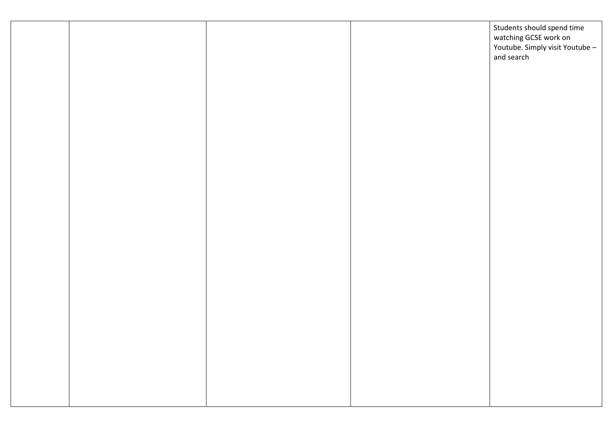|  |  | Students should spend time<br>watching GCSE work on<br>Youtube. Simply visit Youtube -<br>and search |
|--|--|------------------------------------------------------------------------------------------------------|
|  |  |                                                                                                      |
|  |  |                                                                                                      |
|  |  |                                                                                                      |
|  |  |                                                                                                      |
|  |  |                                                                                                      |
|  |  |                                                                                                      |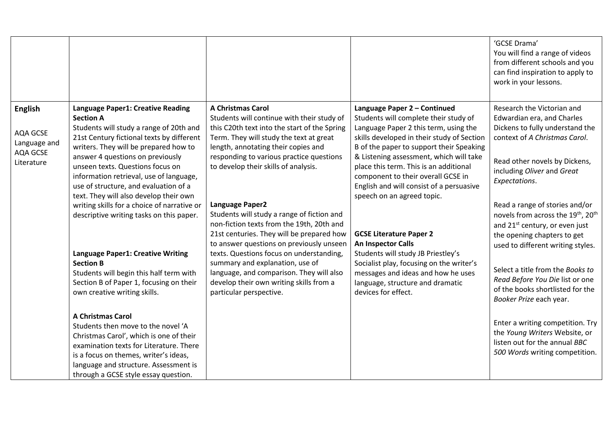|                                      |                                                                                                                                                                                                    |                                                                                                                                                         |                                                                                                                                                                                                   | 'GCSE Drama'<br>You will find a range of videos<br>from different schools and you<br>can find inspiration to apply to<br>work in your lessons.                            |
|--------------------------------------|----------------------------------------------------------------------------------------------------------------------------------------------------------------------------------------------------|---------------------------------------------------------------------------------------------------------------------------------------------------------|---------------------------------------------------------------------------------------------------------------------------------------------------------------------------------------------------|---------------------------------------------------------------------------------------------------------------------------------------------------------------------------|
| <b>English</b>                       | <b>Language Paper1: Creative Reading</b>                                                                                                                                                           | <b>A Christmas Carol</b>                                                                                                                                | Language Paper 2 - Continued                                                                                                                                                                      | Research the Victorian and                                                                                                                                                |
|                                      | <b>Section A</b>                                                                                                                                                                                   | Students will continue with their study of                                                                                                              | Students will complete their study of                                                                                                                                                             | Edwardian era, and Charles                                                                                                                                                |
| AQA GCSE<br>Language and<br>AQA GCSE | Students will study a range of 20th and<br>21st Century fictional texts by different<br>writers. They will be prepared how to                                                                      | this C20th text into the start of the Spring<br>Term. They will study the text at great<br>length, annotating their copies and                          | Language Paper 2 this term, using the<br>skills developed in their study of Section<br>B of the paper to support their Speaking                                                                   | Dickens to fully understand the<br>context of A Christmas Carol.                                                                                                          |
| Literature                           | answer 4 questions on previously<br>unseen texts. Questions focus on<br>information retrieval, use of language,<br>use of structure, and evaluation of a<br>text. They will also develop their own | responding to various practice questions<br>to develop their skills of analysis.                                                                        | & Listening assessment, which will take<br>place this term. This is an additional<br>component to their overall GCSE in<br>English and will consist of a persuasive<br>speech on an agreed topic. | Read other novels by Dickens,<br>including Oliver and Great<br>Expectations.                                                                                              |
|                                      | writing skills for a choice of narrative or<br>descriptive writing tasks on this paper.                                                                                                            | Language Paper2<br>Students will study a range of fiction and<br>non-fiction texts from the 19th, 20th and<br>21st centuries. They will be prepared how | <b>GCSE Literature Paper 2</b>                                                                                                                                                                    | Read a range of stories and/or<br>novels from across the 19 <sup>th</sup> , 20 <sup>th</sup><br>and 21 <sup>st</sup> century, or even just<br>the opening chapters to get |
|                                      | <b>Language Paper1: Creative Writing</b><br><b>Section B</b>                                                                                                                                       | to answer questions on previously unseen<br>texts. Questions focus on understanding,                                                                    | <b>An Inspector Calls</b><br>Students will study JB Priestley's                                                                                                                                   | used to different writing styles.                                                                                                                                         |
|                                      | Students will begin this half term with<br>Section B of Paper 1, focusing on their<br>own creative writing skills.                                                                                 | summary and explanation, use of<br>language, and comparison. They will also<br>develop their own writing skills from a<br>particular perspective.       | Socialist play, focusing on the writer's<br>messages and ideas and how he uses<br>language, structure and dramatic<br>devices for effect.                                                         | Select a title from the Books to<br>Read Before You Die list or one<br>of the books shortlisted for the<br>Booker Prize each year.                                        |
|                                      | <b>A Christmas Carol</b>                                                                                                                                                                           |                                                                                                                                                         |                                                                                                                                                                                                   |                                                                                                                                                                           |
|                                      | Students then move to the novel 'A<br>Christmas Carol', which is one of their                                                                                                                      |                                                                                                                                                         |                                                                                                                                                                                                   | Enter a writing competition. Try<br>the Young Writers Website, or<br>listen out for the annual BBC                                                                        |
|                                      | examination texts for Literature. There<br>is a focus on themes, writer's ideas,                                                                                                                   |                                                                                                                                                         |                                                                                                                                                                                                   | 500 Words writing competition.                                                                                                                                            |
|                                      | language and structure. Assessment is                                                                                                                                                              |                                                                                                                                                         |                                                                                                                                                                                                   |                                                                                                                                                                           |
|                                      | through a GCSE style essay question.                                                                                                                                                               |                                                                                                                                                         |                                                                                                                                                                                                   |                                                                                                                                                                           |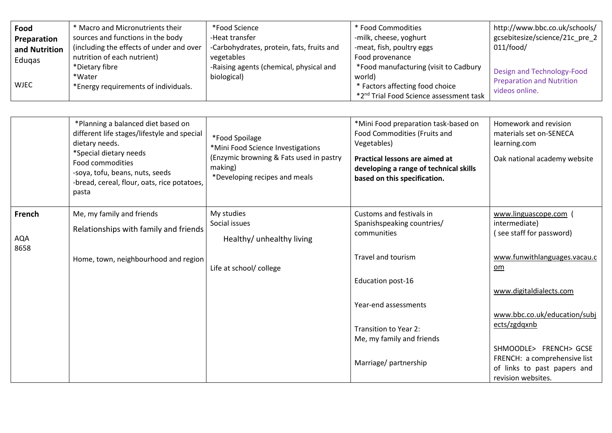| Food<br>Preparation<br>and Nutrition<br>Eduqas<br><b>WJEC</b> | * Macro and Micronutrients their<br>sources and functions in the body<br>(including the effects of under and over<br>nutrition of each nutrient)<br>*Dietary fibre<br>*Water<br>*Energy requirements of individuals.                         | *Food Science<br>-Heat transfer<br>-Carbohydrates, protein, fats, fruits and<br>vegetables<br>-Raising agents (chemical, physical and<br>biological) | * Food Commodities<br>-milk, cheese, yoghurt<br>-meat, fish, poultry eggs<br>Food provenance<br>*Food manufacturing (visit to Cadbury<br>world)<br>* Factors affecting food choice<br>*2 <sup>nd</sup> Trial Food Science assessment task | http://www.bbc.co.uk/schools/<br>gcsebitesize/science/21c pre 2<br>011/food/<br>Design and Technology-Food<br><b>Preparation and Nutrition</b><br>videos online.                                         |
|---------------------------------------------------------------|----------------------------------------------------------------------------------------------------------------------------------------------------------------------------------------------------------------------------------------------|------------------------------------------------------------------------------------------------------------------------------------------------------|-------------------------------------------------------------------------------------------------------------------------------------------------------------------------------------------------------------------------------------------|----------------------------------------------------------------------------------------------------------------------------------------------------------------------------------------------------------|
|                                                               | *Planning a balanced diet based on<br>different life stages/lifestyle and special<br>dietary needs.<br>*Special dietary needs<br>Food commodities<br>-soya, tofu, beans, nuts, seeds<br>-bread, cereal, flour, oats, rice potatoes,<br>pasta | *Food Spoilage<br>*Mini Food Science Investigations<br>(Enzymic browning & Fats used in pastry<br>making)<br>*Developing recipes and meals           | *Mini Food preparation task-based on<br>Food Commodities (Fruits and<br>Vegetables)<br>Practical lessons are aimed at<br>developing a range of technical skills<br>based on this specification.                                           | Homework and revision<br>materials set on-SENECA<br>learning.com<br>Oak national academy website                                                                                                         |
| French<br><b>AQA</b><br>8658                                  | Me, my family and friends<br>Relationships with family and friends                                                                                                                                                                           | My studies<br>Social issues<br>Healthy/ unhealthy living                                                                                             | Customs and festivals in<br>Spanishspeaking countries/<br>communities                                                                                                                                                                     | www.linguascope.com<br>intermediate)<br>see staff for password)                                                                                                                                          |
|                                                               | Home, town, neighbourhood and region                                                                                                                                                                                                         | Life at school/ college                                                                                                                              | <b>Travel and tourism</b><br>Education post-16<br>Year-end assessments<br>Transition to Year 2:<br>Me, my family and friends<br>Marriage/ partnership                                                                                     | www.funwithlanguages.vacau.c<br>$om$<br>www.digitaldialects.com<br>www.bbc.co.uk/education/subj<br>ects/zgdqxnb<br>SHMOODLE> FRENCH> GCSE<br>FRENCH: a comprehensive list<br>of links to past papers and |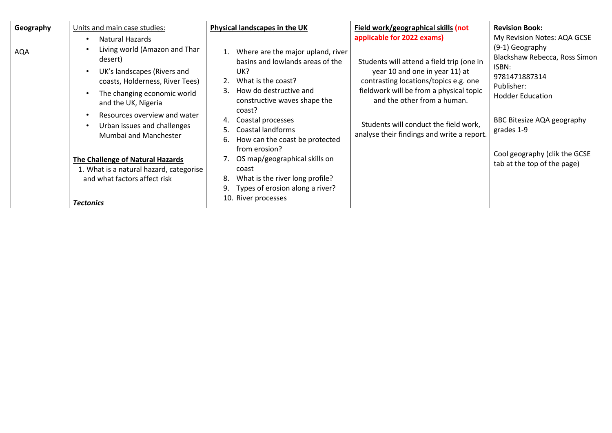| Geography  | Units and main case studies:                                                                                                                                                                                                                                                                                                                                                                                   | <b>Physical landscapes in the UK</b>                                                                                                                                                                                                                                                                                                                                                                                                                                    | Field work/geographical skills (not                                                                                                                                                                                                                                                                                 | <b>Revision Book:</b>                                                                                                                                                                                                                                          |
|------------|----------------------------------------------------------------------------------------------------------------------------------------------------------------------------------------------------------------------------------------------------------------------------------------------------------------------------------------------------------------------------------------------------------------|-------------------------------------------------------------------------------------------------------------------------------------------------------------------------------------------------------------------------------------------------------------------------------------------------------------------------------------------------------------------------------------------------------------------------------------------------------------------------|---------------------------------------------------------------------------------------------------------------------------------------------------------------------------------------------------------------------------------------------------------------------------------------------------------------------|----------------------------------------------------------------------------------------------------------------------------------------------------------------------------------------------------------------------------------------------------------------|
| <b>AQA</b> | Natural Hazards<br>Living world (Amazon and Thar<br>desert)<br>UK's landscapes (Rivers and<br>coasts, Holderness, River Tees)<br>The changing economic world<br>and the UK, Nigeria<br>Resources overview and water<br>Urban issues and challenges<br>Mumbai and Manchester<br>The Challenge of Natural Hazards<br>1. What is a natural hazard, categorise<br>and what factors affect risk<br><b>Tectonics</b> | Where are the major upland, river<br>1.<br>basins and lowlands areas of the<br>UK?<br>What is the coast?<br>2.<br>How do destructive and<br>$\mathbf{3}$ .<br>constructive waves shape the<br>coast?<br>Coastal processes<br>4.<br><b>Coastal landforms</b><br>How can the coast be protected<br>6.<br>from erosion?<br>OS map/geographical skills on<br>coast<br>What is the river long profile?<br>8.<br>Types of erosion along a river?<br>9.<br>10. River processes | applicable for 2022 exams)<br>Students will attend a field trip (one in<br>year 10 and one in year 11) at<br>contrasting locations/topics e.g. one<br>fieldwork will be from a physical topic<br>and the other from a human.<br>Students will conduct the field work,<br>analyse their findings and write a report. | My Revision Notes: AQA GCSE<br>(9-1) Geography<br>Blackshaw Rebecca, Ross Simon<br>ISBN:<br>9781471887314<br>Publisher:<br><b>Hodder Education</b><br>BBC Bitesize AQA geography<br>grades 1-9<br>Cool geography (clik the GCSE<br>tab at the top of the page) |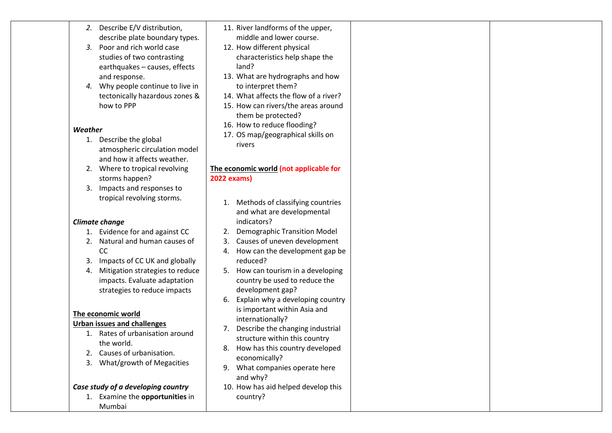| 2. Describe E/V distribution,                                         | 11. River landforms of the upper,                |  |
|-----------------------------------------------------------------------|--------------------------------------------------|--|
| describe plate boundary types.                                        | middle and lower course.                         |  |
| Poor and rich world case<br>3.                                        | 12. How different physical                       |  |
| studies of two contrasting                                            | characteristics help shape the                   |  |
| earthquakes - causes, effects                                         | land?                                            |  |
| and response.                                                         | 13. What are hydrographs and how                 |  |
| Why people continue to live in<br>4.                                  | to interpret them?                               |  |
| tectonically hazardous zones &                                        | 14. What affects the flow of a river?            |  |
| how to PPP                                                            | 15. How can rivers/the areas around              |  |
|                                                                       | them be protected?                               |  |
| Weather                                                               | 16. How to reduce flooding?                      |  |
| 1. Describe the global                                                | 17. OS map/geographical skills on                |  |
| atmospheric circulation model                                         | rivers                                           |  |
| and how it affects weather.                                           |                                                  |  |
| 2. Where to tropical revolving                                        | The economic world (not applicable for           |  |
| storms happen?                                                        | <b>2022 exams)</b>                               |  |
| Impacts and responses to<br>3.                                        |                                                  |  |
| tropical revolving storms.                                            |                                                  |  |
|                                                                       | Methods of classifying countries<br>1.           |  |
|                                                                       | and what are developmental                       |  |
| <b>Climate change</b>                                                 | indicators?                                      |  |
| 1. Evidence for and against CC                                        | <b>Demographic Transition Model</b><br>2.        |  |
| 2. Natural and human causes of<br>CC                                  | Causes of uneven development<br>3.               |  |
|                                                                       | How can the development gap be<br>4.<br>reduced? |  |
| Impacts of CC UK and globally<br>3.                                   | 5. How can tourism in a developing               |  |
| Mitigation strategies to reduce<br>4.                                 | country be used to reduce the                    |  |
| impacts. Evaluate adaptation<br>strategies to reduce impacts          | development gap?                                 |  |
|                                                                       | Explain why a developing country<br>6.           |  |
|                                                                       | is important within Asia and                     |  |
| The economic world                                                    | internationally?                                 |  |
| <b>Urban issues and challenges</b>                                    | 7. Describe the changing industrial              |  |
| 1. Rates of urbanisation around                                       | structure within this country                    |  |
| the world.                                                            | How has this country developed                   |  |
| Causes of urbanisation.<br>2.                                         | economically?                                    |  |
| What/growth of Megacities<br>3.                                       | What companies operate here<br>9.                |  |
|                                                                       |                                                  |  |
|                                                                       |                                                  |  |
|                                                                       | and why?                                         |  |
| Case study of a developing country<br>1. Examine the opportunities in | 10. How has aid helped develop this<br>country?  |  |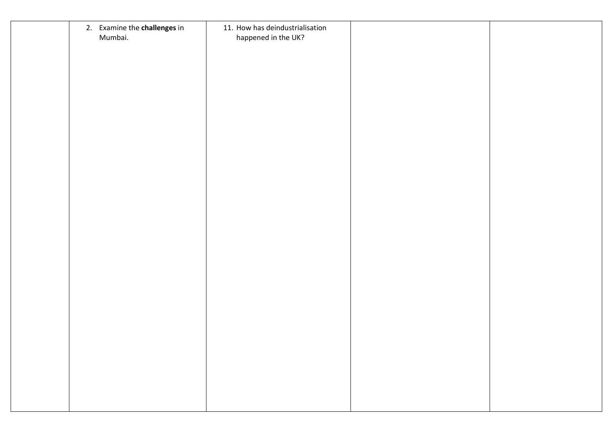| 2. Examine the challenges in<br>Mumbai. | 11. How has deindustrialisation<br>happened in the UK? |  |
|-----------------------------------------|--------------------------------------------------------|--|
|                                         |                                                        |  |
|                                         |                                                        |  |
|                                         |                                                        |  |
|                                         |                                                        |  |
|                                         |                                                        |  |
|                                         |                                                        |  |
|                                         |                                                        |  |
|                                         |                                                        |  |
|                                         |                                                        |  |
|                                         |                                                        |  |
|                                         |                                                        |  |
|                                         |                                                        |  |
|                                         |                                                        |  |
|                                         |                                                        |  |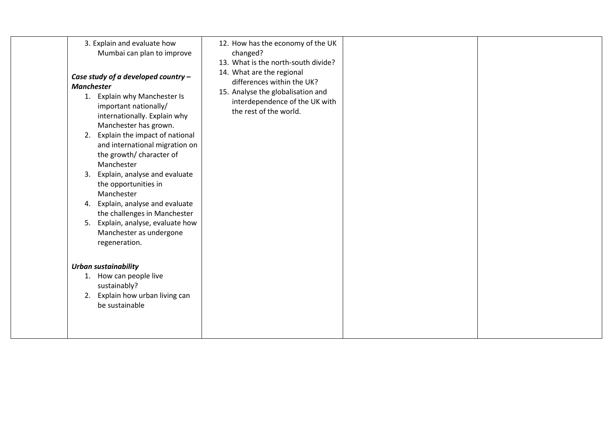| 3. Explain and evaluate how<br>Mumbai can plan to improve<br>Case study of a developed country -<br><b>Manchester</b><br>1. Explain why Manchester Is<br>important nationally/<br>internationally. Explain why<br>Manchester has grown.<br>2. Explain the impact of national<br>and international migration on<br>the growth/ character of<br>Manchester<br>3. Explain, analyse and evaluate<br>the opportunities in<br>Manchester<br>4. Explain, analyse and evaluate<br>the challenges in Manchester<br>5. Explain, analyse, evaluate how<br>Manchester as undergone<br>regeneration. | 12. How has the economy of the UK<br>changed?<br>13. What is the north-south divide?<br>14. What are the regional<br>differences within the UK?<br>15. Analyse the globalisation and<br>interdependence of the UK with<br>the rest of the world. |  |
|-----------------------------------------------------------------------------------------------------------------------------------------------------------------------------------------------------------------------------------------------------------------------------------------------------------------------------------------------------------------------------------------------------------------------------------------------------------------------------------------------------------------------------------------------------------------------------------------|--------------------------------------------------------------------------------------------------------------------------------------------------------------------------------------------------------------------------------------------------|--|
| <b>Urban sustainability</b>                                                                                                                                                                                                                                                                                                                                                                                                                                                                                                                                                             |                                                                                                                                                                                                                                                  |  |
| 1. How can people live<br>sustainably?                                                                                                                                                                                                                                                                                                                                                                                                                                                                                                                                                  |                                                                                                                                                                                                                                                  |  |
| 2. Explain how urban living can<br>be sustainable                                                                                                                                                                                                                                                                                                                                                                                                                                                                                                                                       |                                                                                                                                                                                                                                                  |  |
|                                                                                                                                                                                                                                                                                                                                                                                                                                                                                                                                                                                         |                                                                                                                                                                                                                                                  |  |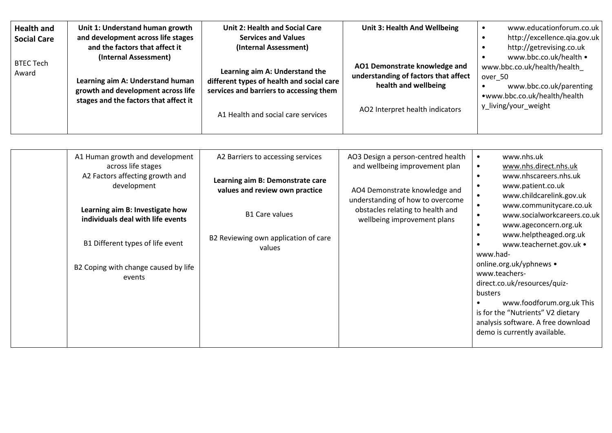| <b>Health and</b><br><b>Social Care</b> | Unit 1: Understand human growth<br>and development across life stages<br>and the factors that affect it<br>(Internal Assessment) | <b>Unit 2: Health and Social Care</b><br><b>Services and Values</b><br>(Internal Assessment)                                                                 | Unit 3: Health And Wellbeing                                                                                                     | www.educationforum.co.uk<br>http://excellence.qia.gov.uk<br>http://getrevising.co.uk<br>www.bbc.co.uk/health •                          |
|-----------------------------------------|----------------------------------------------------------------------------------------------------------------------------------|--------------------------------------------------------------------------------------------------------------------------------------------------------------|----------------------------------------------------------------------------------------------------------------------------------|-----------------------------------------------------------------------------------------------------------------------------------------|
| <b>BTEC Tech</b><br>Award               | Learning aim A: Understand human<br>growth and development across life<br>stages and the factors that affect it                  | Learning aim A: Understand the<br>different types of health and social care<br>services and barriers to accessing them<br>A1 Health and social care services | AO1 Demonstrate knowledge and<br>understanding of factors that affect<br>health and wellbeing<br>AO2 Interpret health indicators | www.bbc.co.uk/health/health<br>over 50<br>www.bbc.co.uk/parenting<br>$\bullet$<br>• www.bbc.co.uk/health/health<br>y_living/your_weight |

| www.helptheaged.org.uk<br>B2 Reviewing own application of care<br>B1 Different types of life event<br>www.teachernet.gov.uk •<br>values<br>www.had-<br>online.org.uk/yphnews •<br>B2 Coping with change caused by life<br>www.teachers-<br>events<br>direct.co.uk/resources/quiz-<br>busters<br>is for the "Nutrients" V2 dietary<br>demo is currently available. | A1 Human growth and development<br>across life stages<br>A2 Factors affecting growth and<br>development<br>Learning aim B: Investigate how<br>individuals deal with life events | A2 Barriers to accessing services<br>Learning aim B: Demonstrate care<br>values and review own practice<br><b>B1 Care values</b> | AO3 Design a person-centred health<br>and wellbeing improvement plan<br>AO4 Demonstrate knowledge and<br>understanding of how to overcome<br>obstacles relating to health and<br>wellbeing improvement plans | www.nhs.uk<br>www.nhs.direct.nhs.uk<br>$\bullet$<br>www.nhscareers.nhs.uk<br>$\bullet$<br>www.patient.co.uk<br>www.childcarelink.gov.uk<br>www.communitycare.co.uk<br>www.socialworkcareers.co.uk<br>$\bullet$<br>www.ageconcern.org.uk<br>$\bullet$<br>www.foodforum.org.uk This<br>analysis software. A free download |
|-------------------------------------------------------------------------------------------------------------------------------------------------------------------------------------------------------------------------------------------------------------------------------------------------------------------------------------------------------------------|---------------------------------------------------------------------------------------------------------------------------------------------------------------------------------|----------------------------------------------------------------------------------------------------------------------------------|--------------------------------------------------------------------------------------------------------------------------------------------------------------------------------------------------------------|-------------------------------------------------------------------------------------------------------------------------------------------------------------------------------------------------------------------------------------------------------------------------------------------------------------------------|
|-------------------------------------------------------------------------------------------------------------------------------------------------------------------------------------------------------------------------------------------------------------------------------------------------------------------------------------------------------------------|---------------------------------------------------------------------------------------------------------------------------------------------------------------------------------|----------------------------------------------------------------------------------------------------------------------------------|--------------------------------------------------------------------------------------------------------------------------------------------------------------------------------------------------------------|-------------------------------------------------------------------------------------------------------------------------------------------------------------------------------------------------------------------------------------------------------------------------------------------------------------------------|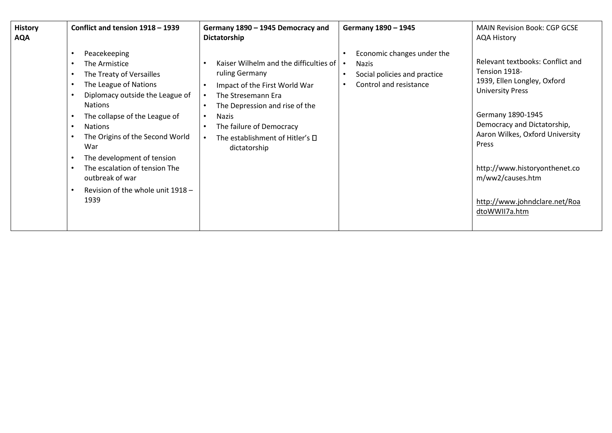| <b>History</b><br><b>AQA</b> | Conflict and tension 1918 - 1939                                                                                                                                                                                                                                                                                                                                                                                                                                            | Germany 1890 - 1945 Democracy and<br>Dictatorship                                                                                                                                                                                                                                                                                       | Germany 1890 - 1945                                                                                        | <b>MAIN Revision Book: CGP GCSE</b><br><b>AQA History</b>                                                                                                                                                                                                                                                          |
|------------------------------|-----------------------------------------------------------------------------------------------------------------------------------------------------------------------------------------------------------------------------------------------------------------------------------------------------------------------------------------------------------------------------------------------------------------------------------------------------------------------------|-----------------------------------------------------------------------------------------------------------------------------------------------------------------------------------------------------------------------------------------------------------------------------------------------------------------------------------------|------------------------------------------------------------------------------------------------------------|--------------------------------------------------------------------------------------------------------------------------------------------------------------------------------------------------------------------------------------------------------------------------------------------------------------------|
|                              | Peacekeeping<br>The Armistice<br>$\bullet$<br>The Treaty of Versailles<br>$\bullet$<br>The League of Nations<br>$\bullet$<br>Diplomacy outside the League of<br><b>Nations</b><br>The collapse of the League of<br><b>Nations</b><br>$\bullet$<br>The Origins of the Second World<br>$\bullet$<br>War<br>The development of tension<br>$\bullet$<br>The escalation of tension The<br>$\bullet$<br>outbreak of war<br>Revision of the whole unit 1918 -<br>$\bullet$<br>1939 | Kaiser Wilhelm and the difficulties of $\cdot$<br>ruling Germany<br>Impact of the First World War<br>$\bullet$<br>The Stresemann Era<br>$\bullet$<br>The Depression and rise of the<br>$\bullet$<br>Nazis<br>$\bullet$<br>The failure of Democracy<br>$\bullet$<br>The establishment of Hitler's $\square$<br>$\bullet$<br>dictatorship | Economic changes under the<br>Nazis<br>Social policies and practice<br>Control and resistance<br>$\bullet$ | Relevant textbooks: Conflict and<br>Tension 1918-<br>1939, Ellen Longley, Oxford<br><b>University Press</b><br>Germany 1890-1945<br>Democracy and Dictatorship,<br>Aaron Wilkes, Oxford University<br>Press<br>http://www.historyonthenet.co<br>m/ww2/causes.htm<br>http://www.johndclare.net/Roa<br>dtoWWII7a.htm |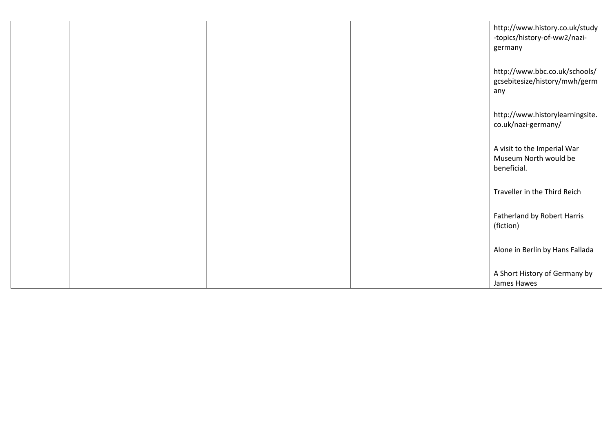|  |  | http://www.history.co.uk/study<br>-topics/history-of-ww2/nazi-<br>germany |
|--|--|---------------------------------------------------------------------------|
|  |  | http://www.bbc.co.uk/schools/<br>gcsebitesize/history/mwh/germ<br>any     |
|  |  | http://www.historylearningsite.<br>co.uk/nazi-germany/                    |
|  |  | A visit to the Imperial War<br>Museum North would be<br>beneficial.       |
|  |  | Traveller in the Third Reich                                              |
|  |  | Fatherland by Robert Harris<br>(fiction)                                  |
|  |  | Alone in Berlin by Hans Fallada                                           |
|  |  | A Short History of Germany by<br>James Hawes                              |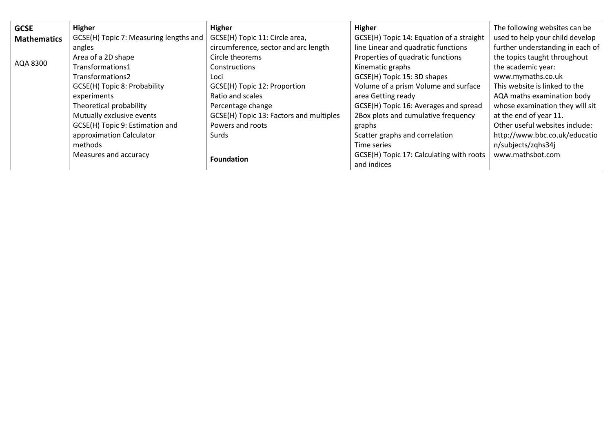| <b>GCSE</b>        | Higher                                 | Higher                                  | Higher                                   | The following websites can be    |
|--------------------|----------------------------------------|-----------------------------------------|------------------------------------------|----------------------------------|
| <b>Mathematics</b> | GCSE(H) Topic 7: Measuring lengths and | GCSE(H) Topic 11: Circle area,          | GCSE(H) Topic 14: Equation of a straight | used to help your child develop  |
|                    | angles                                 | circumference, sector and arc length    | line Linear and quadratic functions      | further understanding in each of |
|                    | Area of a 2D shape                     | Circle theorems                         | Properties of quadratic functions        | the topics taught throughout     |
| AQA 8300           | Transformations1                       | Constructions                           | Kinematic graphs                         | the academic year:               |
|                    | Transformations2                       | Loci                                    | GCSE(H) Topic 15: 3D shapes              | www.mymaths.co.uk                |
|                    | GCSE(H) Topic 8: Probability           | GCSE(H) Topic 12: Proportion            | Volume of a prism Volume and surface     | This website is linked to the    |
|                    | experiments                            | Ratio and scales                        | area Getting ready                       | AQA maths examination body       |
|                    | Theoretical probability                | Percentage change                       | GCSE(H) Topic 16: Averages and spread    | whose examination they will sit  |
|                    | Mutually exclusive events              | GCSE(H) Topic 13: Factors and multiples | 2Box plots and cumulative frequency      | at the end of year 11.           |
|                    | GCSE(H) Topic 9: Estimation and        | Powers and roots                        | graphs                                   | Other useful websites include:   |
|                    | approximation Calculator               | Surds                                   | Scatter graphs and correlation           | http://www.bbc.co.uk/educatio    |
|                    | methods                                |                                         | Time series                              | n/subjects/zqhs34j               |
|                    | Measures and accuracy                  | <b>Foundation</b>                       | GCSE(H) Topic 17: Calculating with roots | www.mathsbot.com                 |
|                    |                                        |                                         | and indices                              |                                  |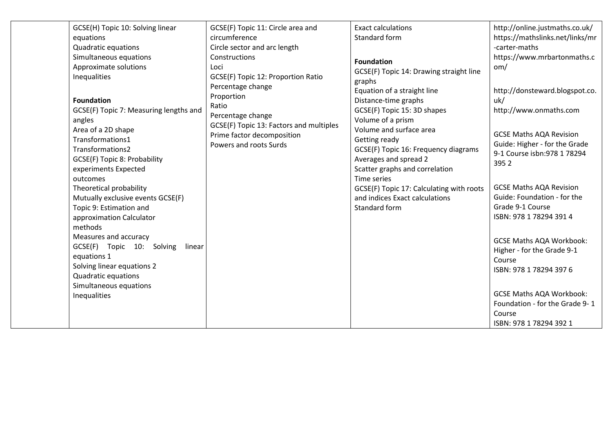| GCSE(H) Topic 10: Solving linear                                                                                   | GCSE(F) Topic 11: Circle area and                                                               | <b>Exact calculations</b>                                                                                                                   | http://online.justmaths.co.uk/                                                                          |
|--------------------------------------------------------------------------------------------------------------------|-------------------------------------------------------------------------------------------------|---------------------------------------------------------------------------------------------------------------------------------------------|---------------------------------------------------------------------------------------------------------|
| equations                                                                                                          | circumference                                                                                   | Standard form                                                                                                                               | https://mathslinks.net/links/mr                                                                         |
| Quadratic equations                                                                                                | Circle sector and arc length                                                                    |                                                                                                                                             | -carter-maths                                                                                           |
| Simultaneous equations                                                                                             | Constructions                                                                                   | <b>Foundation</b>                                                                                                                           | https://www.mrbartonmaths.c                                                                             |
| Approximate solutions                                                                                              | Loci                                                                                            | GCSE(F) Topic 14: Drawing straight line                                                                                                     | om/                                                                                                     |
| Inequalities                                                                                                       | GCSE(F) Topic 12: Proportion Ratio<br>Percentage change                                         | graphs<br>Equation of a straight line                                                                                                       | http://donsteward.blogspot.co.                                                                          |
| <b>Foundation</b>                                                                                                  | Proportion                                                                                      | Distance-time graphs                                                                                                                        | uk/                                                                                                     |
| GCSE(F) Topic 7: Measuring lengths and                                                                             | Ratio                                                                                           | GCSE(F) Topic 15: 3D shapes                                                                                                                 | http://www.onmaths.com                                                                                  |
| angles                                                                                                             | Percentage change                                                                               | Volume of a prism                                                                                                                           |                                                                                                         |
| Area of a 2D shape<br>Transformations1<br>Transformations2<br>GCSE(F) Topic 8: Probability<br>experiments Expected | GCSE(F) Topic 13: Factors and multiples<br>Prime factor decomposition<br>Powers and roots Surds | Volume and surface area<br>Getting ready<br>GCSE(F) Topic 16: Frequency diagrams<br>Averages and spread 2<br>Scatter graphs and correlation | <b>GCSE Maths AQA Revision</b><br>Guide: Higher - for the Grade<br>9-1 Course isbn: 978 1 78294<br>3952 |
| outcomes                                                                                                           |                                                                                                 | Time series<br>GCSE(F) Topic 17: Calculating with roots                                                                                     | <b>GCSE Maths AQA Revision</b>                                                                          |
| Theoretical probability<br>Mutually exclusive events GCSE(F)                                                       |                                                                                                 | and indices Exact calculations                                                                                                              | Guide: Foundation - for the                                                                             |
| Topic 9: Estimation and                                                                                            |                                                                                                 | Standard form                                                                                                                               | Grade 9-1 Course                                                                                        |
| approximation Calculator                                                                                           |                                                                                                 |                                                                                                                                             | ISBN: 978 1 78294 391 4                                                                                 |
| methods                                                                                                            |                                                                                                 |                                                                                                                                             |                                                                                                         |
| Measures and accuracy<br>GCSE(F) Topic 10: Solving<br>linear<br>equations 1<br>Solving linear equations 2          |                                                                                                 |                                                                                                                                             | <b>GCSE Maths AQA Workbook:</b><br>Higher - for the Grade 9-1<br>Course<br>ISBN: 978 1 78294 397 6      |
| Quadratic equations                                                                                                |                                                                                                 |                                                                                                                                             |                                                                                                         |
| Simultaneous equations                                                                                             |                                                                                                 |                                                                                                                                             | <b>GCSE Maths AQA Workbook:</b>                                                                         |
| Inequalities                                                                                                       |                                                                                                 |                                                                                                                                             | Foundation - for the Grade 9-1                                                                          |
|                                                                                                                    |                                                                                                 |                                                                                                                                             | Course                                                                                                  |
|                                                                                                                    |                                                                                                 |                                                                                                                                             | ISBN: 978 1 78294 392 1                                                                                 |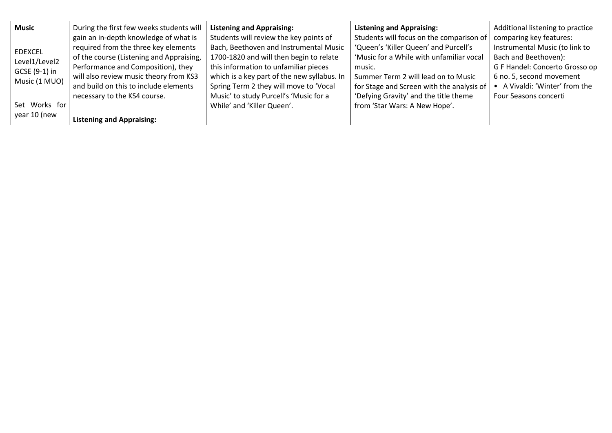| <b>Music</b>   | During the first few weeks students will | <b>Listening and Appraising:</b>            | <b>Listening and Appraising:</b>          | Additional listening to practice |
|----------------|------------------------------------------|---------------------------------------------|-------------------------------------------|----------------------------------|
|                | gain an in-depth knowledge of what is    | Students will review the key points of      | Students will focus on the comparison of  | comparing key features:          |
| <b>EDEXCEL</b> | required from the three key elements     | Bach, Beethoven and Instrumental Music      | 'Queen's 'Killer Queen' and Purcell's     | Instrumental Music (to link to   |
| Level1/Level2  | of the course (Listening and Appraising, | 1700-1820 and will then begin to relate     | 'Music for a While with unfamiliar vocal  | Bach and Beethoven):             |
| GCSE (9-1) in  | Performance and Composition), they       | this information to unfamiliar pieces       | music.                                    | G F Handel: Concerto Grosso op   |
| Music (1 MUO)  | will also review music theory from KS3   | which is a key part of the new syllabus. In | Summer Term 2 will lead on to Music       | 6 no. 5, second movement         |
|                | and build on this to include elements    | Spring Term 2 they will move to 'Vocal      | for Stage and Screen with the analysis of | A Vivaldi: 'Winter' from the     |
|                | necessary to the KS4 course.             | Music' to study Purcell's 'Music for a      | 'Defying Gravity' and the title theme     | Four Seasons concerti            |
| Set Works for  |                                          | While' and 'Killer Queen'.                  | from 'Star Wars: A New Hope'.             |                                  |
| year 10 (new   | <b>Listening and Appraising:</b>         |                                             |                                           |                                  |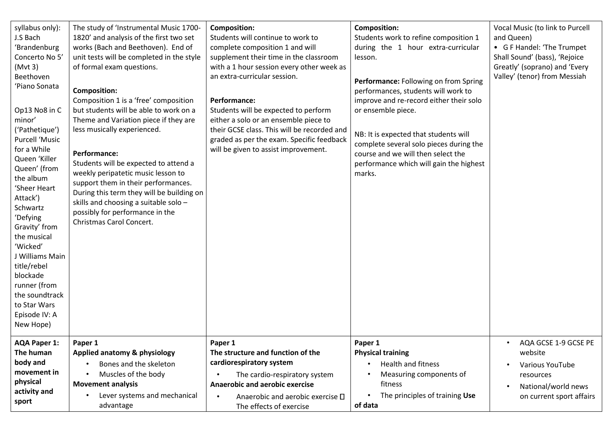| syllabus only):<br>J.S Bach<br>'Brandenburg<br>Concerto No 5'<br>(Mvt 3)<br>Beethoven<br>'Piano Sonata<br>Op13 No8 in C<br>minor'<br>('Pathetique')<br><b>Purcell 'Music</b><br>for a While<br>Queen 'Killer<br>Queen' (from<br>the album<br>'Sheer Heart<br>Attack')<br>Schwartz<br>'Defying<br>Gravity' from<br>the musical<br>'Wicked'<br>J Williams Main<br>title/rebel<br>blockade<br>runner (from<br>the soundtrack<br>to Star Wars<br>Episode IV: A<br>New Hope) | The study of 'Instrumental Music 1700-<br>1820' and analysis of the first two set<br>works (Bach and Beethoven). End of<br>unit tests will be completed in the style<br>of formal exam questions.<br><b>Composition:</b><br>Composition 1 is a 'free' composition<br>but students will be able to work on a<br>Theme and Variation piece if they are<br>less musically experienced.<br>Performance:<br>Students will be expected to attend a<br>weekly peripatetic music lesson to<br>support them in their performances.<br>During this term they will be building on<br>skills and choosing a suitable solo -<br>possibly for performance in the<br>Christmas Carol Concert. | <b>Composition:</b><br>Students will continue to work to<br>complete composition 1 and will<br>supplement their time in the classroom<br>with a 1 hour session every other week as<br>an extra-curricular session.<br>Performance:<br>Students will be expected to perform<br>either a solo or an ensemble piece to<br>their GCSE class. This will be recorded and<br>graded as per the exam. Specific feedback<br>will be given to assist improvement. | <b>Composition:</b><br>Students work to refine composition 1<br>during the 1 hour extra-curricular<br>lesson.<br>Performance: Following on from Spring<br>performances, students will work to<br>improve and re-record either their solo<br>or ensemble piece.<br>NB: It is expected that students will<br>complete several solo pieces during the<br>course and we will then select the<br>performance which will gain the highest<br>marks. | Vocal Music (to link to Purcell<br>and Queen)<br>• G F Handel: 'The Trumpet<br>Shall Sound' (bass), 'Rejoice<br>Greatly' (soprano) and 'Every<br>Valley' (tenor) from Messiah |
|-------------------------------------------------------------------------------------------------------------------------------------------------------------------------------------------------------------------------------------------------------------------------------------------------------------------------------------------------------------------------------------------------------------------------------------------------------------------------|--------------------------------------------------------------------------------------------------------------------------------------------------------------------------------------------------------------------------------------------------------------------------------------------------------------------------------------------------------------------------------------------------------------------------------------------------------------------------------------------------------------------------------------------------------------------------------------------------------------------------------------------------------------------------------|---------------------------------------------------------------------------------------------------------------------------------------------------------------------------------------------------------------------------------------------------------------------------------------------------------------------------------------------------------------------------------------------------------------------------------------------------------|-----------------------------------------------------------------------------------------------------------------------------------------------------------------------------------------------------------------------------------------------------------------------------------------------------------------------------------------------------------------------------------------------------------------------------------------------|-------------------------------------------------------------------------------------------------------------------------------------------------------------------------------|
| <b>AQA Paper 1:</b><br>The human<br>body and<br>movement in<br>physical<br>activity and<br>sport                                                                                                                                                                                                                                                                                                                                                                        | Paper 1<br>Applied anatomy & physiology<br>Bones and the skeleton<br>Muscles of the body<br><b>Movement analysis</b><br>Lever systems and mechanical<br>advantage                                                                                                                                                                                                                                                                                                                                                                                                                                                                                                              | Paper 1<br>The structure and function of the<br>cardiorespiratory system<br>The cardio-respiratory system<br>Anaerobic and aerobic exercise<br>Anaerobic and aerobic exercise $\square$<br>The effects of exercise                                                                                                                                                                                                                                      | Paper 1<br><b>Physical training</b><br>Health and fitness<br>Measuring components of<br>fitness<br>The principles of training Use<br>of data                                                                                                                                                                                                                                                                                                  | AQA GCSE 1-9 GCSE PE<br>website<br>Various YouTube<br>resources<br>National/world news<br>on current sport affairs                                                            |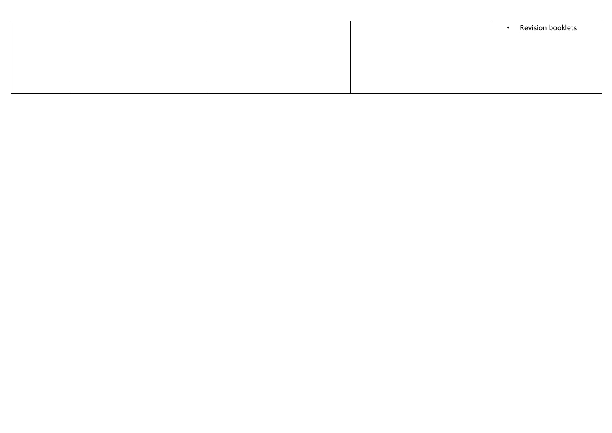|  |  | Revision booklets<br>$\overline{\phantom{a}}$ |
|--|--|-----------------------------------------------|
|  |  |                                               |
|  |  |                                               |
|  |  |                                               |
|  |  |                                               |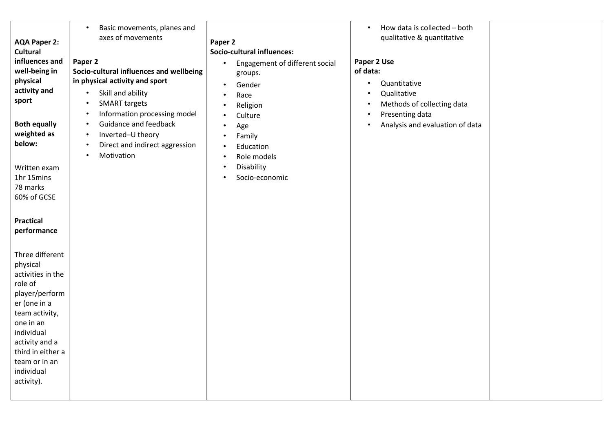| <b>AQA Paper 2:</b><br><b>Cultural</b><br>influences and<br>well-being in<br>physical<br>activity and<br>sport<br><b>Both equally</b><br>weighted as<br>below:<br>Written exam<br>1hr 15mins<br>78 marks<br>60% of GCSE<br><b>Practical</b><br>performance<br>Three different<br>physical<br>activities in the<br>role of<br>player/perform<br>er (one in a<br>team activity,<br>one in an<br>individual<br>activity and a<br>third in either a<br>team or in an<br>individual<br>activity). | Basic movements, planes and<br>axes of movements<br>Paper 2<br>Socio-cultural influences and wellbeing<br>in physical activity and sport<br>Skill and ability<br><b>SMART targets</b><br>Information processing model<br>Guidance and feedback<br>Inverted-U theory<br>$\bullet$<br>Direct and indirect aggression<br>Motivation | Paper 2<br><b>Socio-cultural influences:</b><br>Engagement of different social<br>$\bullet$<br>groups.<br>Gender<br>$\bullet$<br>Race<br>$\bullet$<br>Religion<br>$\bullet$<br>Culture<br>$\bullet$<br>Age<br>$\bullet$<br>Family<br>$\bullet$<br>Education<br>Role models<br>Disability<br>$\bullet$<br>Socio-economic<br>$\bullet$ | How data is collected - both<br>$\bullet$<br>qualitative & quantitative<br>Paper 2 Use<br>of data:<br>Quantitative<br>$\bullet$<br>Qualitative<br>Methods of collecting data<br>$\bullet$<br>Presenting data<br>$\bullet$<br>Analysis and evaluation of data<br>$\bullet$ |  |
|----------------------------------------------------------------------------------------------------------------------------------------------------------------------------------------------------------------------------------------------------------------------------------------------------------------------------------------------------------------------------------------------------------------------------------------------------------------------------------------------|----------------------------------------------------------------------------------------------------------------------------------------------------------------------------------------------------------------------------------------------------------------------------------------------------------------------------------|--------------------------------------------------------------------------------------------------------------------------------------------------------------------------------------------------------------------------------------------------------------------------------------------------------------------------------------|---------------------------------------------------------------------------------------------------------------------------------------------------------------------------------------------------------------------------------------------------------------------------|--|
|----------------------------------------------------------------------------------------------------------------------------------------------------------------------------------------------------------------------------------------------------------------------------------------------------------------------------------------------------------------------------------------------------------------------------------------------------------------------------------------------|----------------------------------------------------------------------------------------------------------------------------------------------------------------------------------------------------------------------------------------------------------------------------------------------------------------------------------|--------------------------------------------------------------------------------------------------------------------------------------------------------------------------------------------------------------------------------------------------------------------------------------------------------------------------------------|---------------------------------------------------------------------------------------------------------------------------------------------------------------------------------------------------------------------------------------------------------------------------|--|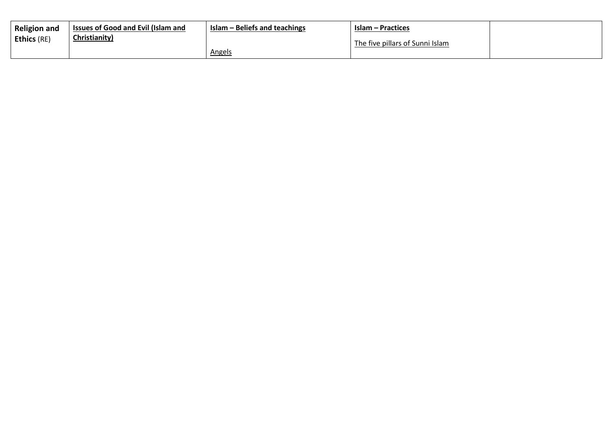| <b>Religion and</b> | I Issues of Good and Evil (Islam and | Islam – Beliefs and teachings | <b>Islam – Practices</b>        |  |
|---------------------|--------------------------------------|-------------------------------|---------------------------------|--|
| <b>Ethics (RE)</b>  | Christianity)                        | <u>Angels</u>                 | The five pillars of Sunni Islam |  |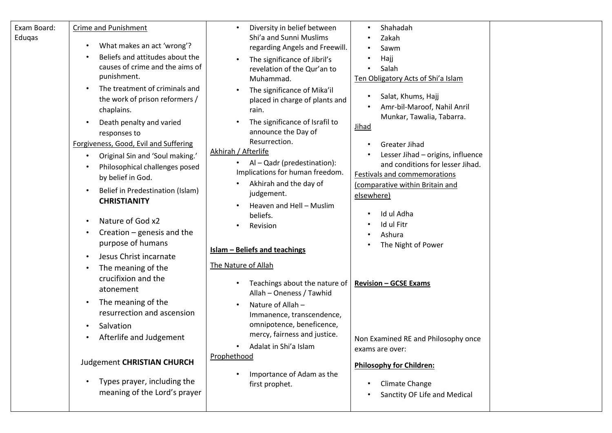| Exam Board:<br>Eduqas | Crime and Punishment<br>What makes an act 'wrong'?<br>$\bullet$<br>Beliefs and attitudes about the<br>$\bullet$<br>causes of crime and the aims of<br>punishment.<br>The treatment of criminals and<br>the work of prison reformers /<br>chaplains.<br>Death penalty and varied<br>responses to<br>Forgiveness, Good, Evil and Suffering<br>Original Sin and 'Soul making.'<br>$\bullet$<br>Philosophical challenges posed<br>by belief in God.<br>Belief in Predestination (Islam)<br>$\bullet$<br><b>CHRISTIANITY</b><br>Nature of God x2<br>$\bullet$<br>Creation $-$ genesis and the<br>$\bullet$<br>purpose of humans | Diversity in belief between<br>Shi'a and Sunni Muslims<br>regarding Angels and Freewill.<br>The significance of Jibril's<br>revelation of the Qur'an to<br>Muhammad.<br>The significance of Mika'il<br>placed in charge of plants and<br>rain.<br>The significance of Israfil to<br>announce the Day of<br>Resurrection.<br>Akhirah / Afterlife<br>Al - Qadr (predestination):<br>Implications for human freedom.<br>Akhirah and the day of<br>judgement.<br>Heaven and Hell - Muslim<br>beliefs.<br>Revision<br><b>Islam - Beliefs and teachings</b> | Shahadah<br>$\bullet$<br>Zakah<br>Sawm<br>Hajj<br>Salah<br>Ten Obligatory Acts of Shi'a Islam<br>Salat, Khums, Hajj<br>$\bullet$<br>Amr-bil-Maroof, Nahil Anril<br>Munkar, Tawalia, Tabarra.<br>Jihad<br><b>Greater Jihad</b><br>$\bullet$<br>Lesser Jihad - origins, influence<br>and conditions for lesser Jihad.<br><b>Festivals and commemorations</b><br>(comparative within Britain and<br>elsewhere)<br>Id ul Adha<br>Id ul Fitr<br>Ashura<br>The Night of Power |  |
|-----------------------|----------------------------------------------------------------------------------------------------------------------------------------------------------------------------------------------------------------------------------------------------------------------------------------------------------------------------------------------------------------------------------------------------------------------------------------------------------------------------------------------------------------------------------------------------------------------------------------------------------------------------|-------------------------------------------------------------------------------------------------------------------------------------------------------------------------------------------------------------------------------------------------------------------------------------------------------------------------------------------------------------------------------------------------------------------------------------------------------------------------------------------------------------------------------------------------------|-------------------------------------------------------------------------------------------------------------------------------------------------------------------------------------------------------------------------------------------------------------------------------------------------------------------------------------------------------------------------------------------------------------------------------------------------------------------------|--|
|                       | Jesus Christ incarnate<br>$\bullet$<br>The meaning of the<br>$\bullet$<br>crucifixion and the<br>atonement<br>The meaning of the<br>$\bullet$<br>resurrection and ascension<br>Salvation<br>$\bullet$<br>Afterlife and Judgement<br>$\bullet$<br><b>Judgement CHRISTIAN CHURCH</b><br>Types prayer, including the<br>$\bullet$<br>meaning of the Lord's prayer                                                                                                                                                                                                                                                             | The Nature of Allah<br>Teachings about the nature of<br>Allah - Oneness / Tawhid<br>Nature of Allah -<br>Immanence, transcendence,<br>omnipotence, beneficence,<br>mercy, fairness and justice.<br>Adalat in Shi'a Islam<br>Prophethood<br>Importance of Adam as the<br>first prophet.                                                                                                                                                                                                                                                                | <b>Revision - GCSE Exams</b><br>Non Examined RE and Philosophy once<br>exams are over:<br><b>Philosophy for Children:</b><br>Climate Change<br>$\bullet$<br>Sanctity OF Life and Medical                                                                                                                                                                                                                                                                                |  |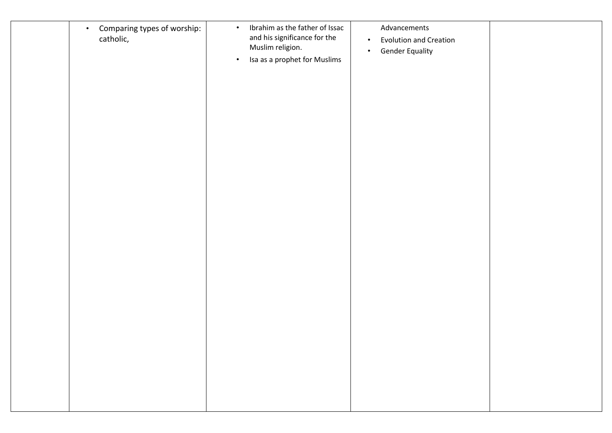| Comparing types of worship:<br>$\bullet$<br>catholic, | Ibrahim as the father of Issac<br>$\bullet$<br>and his significance for the<br>Muslim religion.<br>Isa as a prophet for Muslims<br>$\bullet$ | Advancements<br><b>Evolution and Creation</b><br>$\bullet$<br><b>Gender Equality</b><br>$\bullet$ |  |
|-------------------------------------------------------|----------------------------------------------------------------------------------------------------------------------------------------------|---------------------------------------------------------------------------------------------------|--|
|                                                       |                                                                                                                                              |                                                                                                   |  |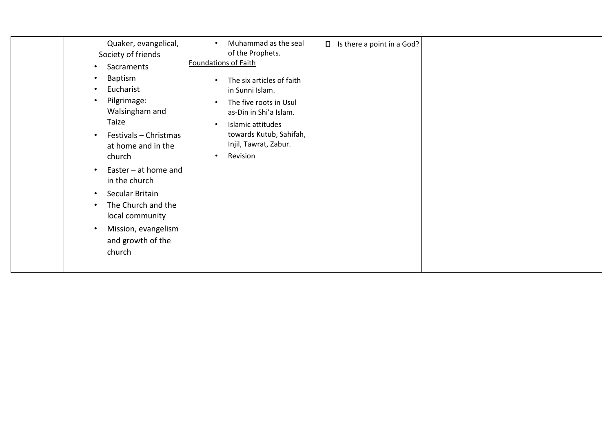| Quaker, evangelical,<br>Society of friends<br>Sacraments<br>$\bullet$<br>Baptism<br>$\bullet$<br>Eucharist<br>$\bullet$<br>Pilgrimage:<br>$\bullet$<br>Walsingham and<br>Taize<br>Festivals - Christmas<br>$\bullet$<br>at home and in the<br>church | Muhammad as the seal<br>of the Prophets.<br><b>Foundations of Faith</b><br>The six articles of faith<br>in Sunni Islam.<br>The five roots in Usul<br>as-Din in Shi'a Islam.<br>Islamic attitudes<br>$\bullet$<br>towards Kutub, Sahifah,<br>Injil, Tawrat, Zabur.<br>Revision<br>$\bullet$ | Is there a point in a God?<br>$\Box$ |  |
|------------------------------------------------------------------------------------------------------------------------------------------------------------------------------------------------------------------------------------------------------|--------------------------------------------------------------------------------------------------------------------------------------------------------------------------------------------------------------------------------------------------------------------------------------------|--------------------------------------|--|
| Easter – at home and<br>$\bullet$<br>in the church<br>Secular Britain<br>$\bullet$<br>The Church and the<br>$\bullet$<br>local community<br>Mission, evangelism<br>and growth of the<br>church                                                       |                                                                                                                                                                                                                                                                                            |                                      |  |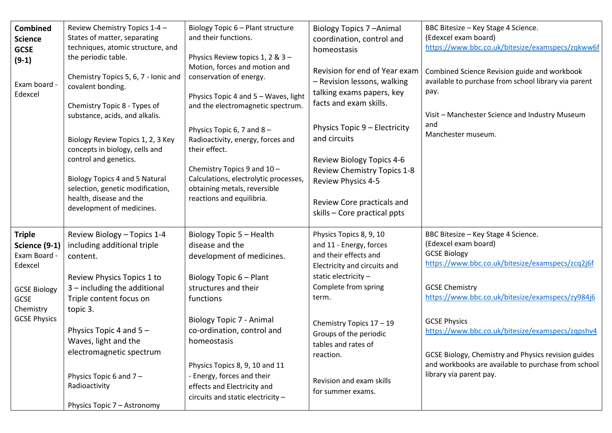| <b>Combined</b><br><b>Science</b><br><b>GCSE</b><br>$(9-1)$<br>Exam board -<br>Edexcel                                              | Review Chemistry Topics 1-4 -<br>States of matter, separating<br>techniques, atomic structure, and<br>the periodic table.<br>Chemistry Topics 5, 6, 7 - Ionic and<br>covalent bonding.<br>Chemistry Topic 8 - Types of<br>substance, acids, and alkalis.<br>Biology Review Topics 1, 2, 3 Key<br>concepts in biology, cells and<br>control and genetics.<br><b>Biology Topics 4 and 5 Natural</b><br>selection, genetic modification,<br>health, disease and the<br>development of medicines. | Biology Topic 6 - Plant structure<br>and their functions.<br>Physics Review topics 1, 2 & 3 -<br>Motion, forces and motion and<br>conservation of energy.<br>Physics Topic 4 and 5 - Waves, light<br>and the electromagnetic spectrum.<br>Physics Topic 6, 7 and 8 -<br>Radioactivity, energy, forces and<br>their effect.<br>Chemistry Topics 9 and 10 -<br>Calculations, electrolytic processes,<br>obtaining metals, reversible<br>reactions and equilibria. | <b>Biology Topics 7-Animal</b><br>coordination, control and<br>homeostasis<br>Revision for end of Year exam<br>- Revision lessons, walking<br>talking exams papers, key<br>facts and exam skills.<br>Physics Topic 9 - Electricity<br>and circuits<br><b>Review Biology Topics 4-6</b><br><b>Review Chemistry Topics 1-8</b><br><b>Review Physics 4-5</b><br>Review Core practicals and<br>skills - Core practical ppts | BBC Bitesize - Key Stage 4 Science.<br>(Edexcel exam board)<br>https://www.bbc.co.uk/bitesize/examspecs/zqkww6f<br>Combined Science Revision guide and workbook<br>available to purchase from school library via parent<br>pay.<br>Visit - Manchester Science and Industry Museum<br>and<br>Manchester museum.                                                                                                                          |
|-------------------------------------------------------------------------------------------------------------------------------------|-----------------------------------------------------------------------------------------------------------------------------------------------------------------------------------------------------------------------------------------------------------------------------------------------------------------------------------------------------------------------------------------------------------------------------------------------------------------------------------------------|-----------------------------------------------------------------------------------------------------------------------------------------------------------------------------------------------------------------------------------------------------------------------------------------------------------------------------------------------------------------------------------------------------------------------------------------------------------------|-------------------------------------------------------------------------------------------------------------------------------------------------------------------------------------------------------------------------------------------------------------------------------------------------------------------------------------------------------------------------------------------------------------------------|-----------------------------------------------------------------------------------------------------------------------------------------------------------------------------------------------------------------------------------------------------------------------------------------------------------------------------------------------------------------------------------------------------------------------------------------|
| <b>Triple</b><br>Science (9-1)<br>Exam Board -<br>Edexcel<br><b>GCSE Biology</b><br><b>GCSE</b><br>Chemistry<br><b>GCSE Physics</b> | Review Biology - Topics 1-4<br>including additional triple<br>content.<br>Review Physics Topics 1 to<br>$3$ – including the additional<br>Triple content focus on<br>topic 3.<br>Physics Topic 4 and $5 -$<br>Waves, light and the<br>electromagnetic spectrum<br>Physics Topic 6 and $7 -$<br>Radioactivity<br>Physics Topic 7 - Astronomy                                                                                                                                                   | Biology Topic 5 - Health<br>disease and the<br>development of medicines.<br>Biology Topic 6 - Plant<br>structures and their<br>functions<br><b>Biology Topic 7 - Animal</b><br>co-ordination, control and<br>homeostasis<br>Physics Topics 8, 9, 10 and 11<br>- Energy, forces and their<br>effects and Electricity and<br>circuits and static electricity -                                                                                                    | Physics Topics 8, 9, 10<br>and 11 - Energy, forces<br>and their effects and<br>Electricity and circuits and<br>static electricity -<br>Complete from spring<br>term.<br>Chemistry Topics 17 - 19<br>Groups of the periodic<br>tables and rates of<br>reaction.<br>Revision and exam skills<br>for summer exams.                                                                                                         | BBC Bitesize - Key Stage 4 Science.<br>(Edexcel exam board)<br><b>GCSE Biology</b><br>https://www.bbc.co.uk/bitesize/examspecs/zcq2j6f<br><b>GCSE Chemistry</b><br>https://www.bbc.co.uk/bitesize/examspecs/zy984j6<br><b>GCSE Physics</b><br>https://www.bbc.co.uk/bitesize/examspecs/zqpshv4<br>GCSE Biology, Chemistry and Physics revision guides<br>and workbooks are available to purchase from school<br>library via parent pay. |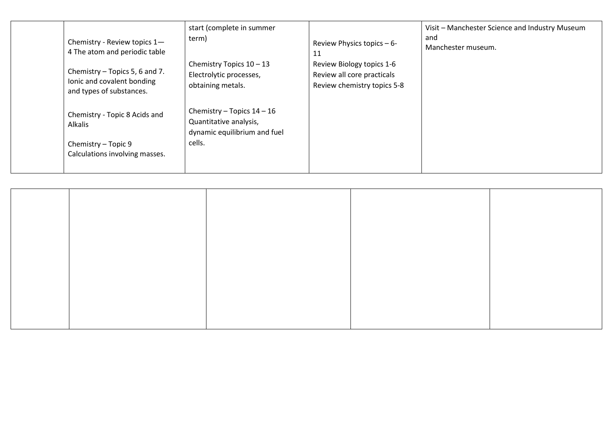| Chemistry - Review topics 1-<br>4 The atom and periodic table<br>Chemistry – Topics 5, 6 and 7.<br>Ionic and covalent bonding<br>and types of substances. | start (complete in summer<br>term)<br>Chemistry Topics $10 - 13$<br>Electrolytic processes,<br>obtaining metals. | Review Physics topics $-6$ -<br>11<br>Review Biology topics 1-6<br>Review all core practicals<br>Review chemistry topics 5-8 | Visit - Manchester Science and Industry Museum<br>and<br>Manchester museum. |
|-----------------------------------------------------------------------------------------------------------------------------------------------------------|------------------------------------------------------------------------------------------------------------------|------------------------------------------------------------------------------------------------------------------------------|-----------------------------------------------------------------------------|
| Chemistry - Topic 8 Acids and<br>Alkalis<br>Chemistry - Topic 9<br>Calculations involving masses.                                                         | Chemistry - Topics $14 - 16$<br>Quantitative analysis,<br>dynamic equilibrium and fuel<br>cells.                 |                                                                                                                              |                                                                             |